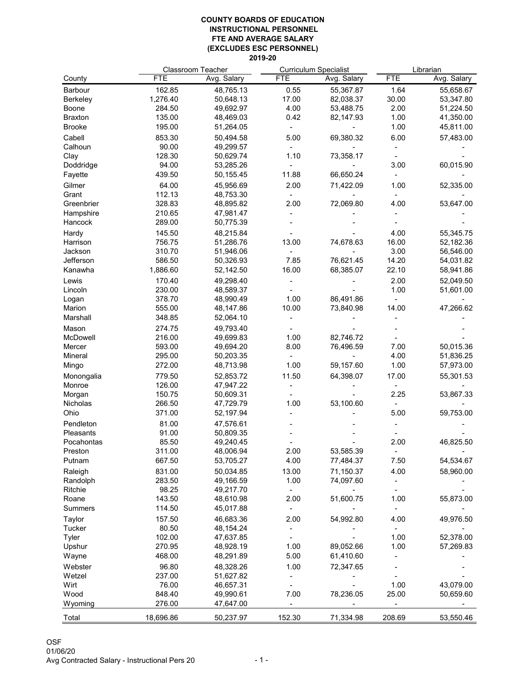|                 | <b>Classroom Teacher</b> |             | <b>Curriculum Specialist</b> |             | Librarian  |             |
|-----------------|--------------------------|-------------|------------------------------|-------------|------------|-------------|
| County          | <b>FTE</b>               | Avg. Salary | <b>FTE</b>                   | Avg. Salary | <b>FTE</b> | Avg. Salary |
| <b>Barbour</b>  | 162.85                   | 48,765.13   | 0.55                         | 55,367.87   | 1.64       | 55,658.67   |
| <b>Berkeley</b> | 1,276.40                 | 50,648.13   | 17.00                        | 82,038.37   | 30.00      | 53,347.80   |
| <b>Boone</b>    | 284.50                   | 49,692.97   | 4.00                         | 53,488.75   | 2.00       | 51,224.50   |
| <b>Braxton</b>  | 135.00                   | 48,469.03   | 0.42                         | 82,147.93   | 1.00       | 41,350.00   |
| <b>Brooke</b>   | 195.00                   | 51,264.05   |                              |             | 1.00       | 45,811.00   |
| Cabell          | 853.30                   | 50,494.58   | 5.00                         | 69,380.32   | 6.00       | 57,483.00   |
| Calhoun         | 90.00                    | 49,299.57   |                              |             |            |             |
| Clay            | 128.30                   | 50,629.74   | 1.10                         | 73,358.17   |            |             |
| Doddridge       | 94.00                    | 53,285.26   |                              |             | 3.00       | 60,015.90   |
| Fayette         | 439.50                   | 50,155.45   | 11.88                        | 66,650.24   |            |             |
| Gilmer          | 64.00                    | 45,956.69   | 2.00                         | 71,422.09   | 1.00       | 52,335.00   |
| Grant           | 112.13                   | 48,753.30   |                              |             |            |             |
| Greenbrier      | 328.83                   | 48,895.82   | 2.00                         | 72,069.80   | 4.00       | 53,647.00   |
| Hampshire       | 210.65                   | 47,981.47   |                              |             |            |             |
| Hancock         | 289.00                   | 50,775.39   |                              |             |            |             |
|                 |                          |             |                              |             |            |             |
| Hardy           | 145.50                   | 48,215.84   |                              |             | 4.00       | 55,345.75   |
| Harrison        | 756.75                   | 51,286.76   | 13.00                        | 74,678.63   | 16.00      | 52,182.36   |
| Jackson         | 310.70                   | 51,946.06   |                              |             | 3.00       | 56,546.00   |
| Jefferson       | 586.50                   | 50,326.93   | 7.85                         | 76,621.45   | 14.20      | 54,031.82   |
| Kanawha         | 1,886.60                 | 52,142.50   | 16.00                        | 68,385.07   | 22.10      | 58,941.86   |
| Lewis           | 170.40                   | 49,298.40   |                              |             | 2.00       | 52,049.50   |
| Lincoln         | 230.00                   | 48,589.37   |                              |             | 1.00       | 51,601.00   |
| Logan           | 378.70                   | 48,990.49   | 1.00                         | 86,491.86   |            |             |
| Marion          | 555.00                   | 48,147.86   | 10.00                        | 73,840.98   | 14.00      | 47,266.62   |
| Marshall        | 348.85                   | 52,064.10   |                              |             |            |             |
| Mason           | 274.75                   | 49,793.40   |                              |             |            |             |
| <b>McDowell</b> | 216.00                   | 49,699.83   | 1.00                         | 82,746.72   |            |             |
| Mercer          | 593.00                   | 49,694.20   | 8.00                         | 76,496.59   | 7.00       | 50,015.36   |
| <b>Mineral</b>  | 295.00                   | 50,203.35   |                              |             | 4.00       | 51,836.25   |
| Mingo           | 272.00                   | 48,713.98   | 1.00                         | 59,157.60   | 1.00       | 57,973.00   |
| Monongalia      | 779.50                   | 52,853.72   | 11.50                        | 64,398.07   | 17.00      | 55,301.53   |
| Monroe          | 126.00                   | 47,947.22   |                              |             |            |             |
| Morgan          | 150.75                   | 50,609.31   |                              |             | 2.25       | 53,867.33   |
| Nicholas        | 266.50                   | 47,729.79   | 1.00                         | 53,100.60   |            |             |
| Ohio            | 371.00                   | 52,197.94   |                              |             | 5.00       | 59,753.00   |
| Pendleton       | 81.00                    | 47,576.61   |                              |             |            |             |
| Pleasants       | 91.00                    | 50,809.35   |                              |             |            |             |
| Pocahontas      | 85.50                    | 49,240.45   |                              |             | 2.00       | 46,825.50   |
| Preston         | 311.00                   | 48,006.94   | 2.00                         | 53,585.39   |            |             |
| Putnam          | 667.50                   | 53,705.27   | 4.00                         | 77,484.37   | 7.50       | 54,534.67   |
| Raleigh         | 831.00                   | 50,034.85   | 13.00                        | 71,150.37   | 4.00       | 58,960.00   |
| Randolph        | 283.50                   | 49,166.59   | 1.00                         | 74,097.60   |            |             |
| <b>Ritchie</b>  | 98.25                    | 49,217.70   |                              |             |            |             |
| Roane           | 143.50                   | 48,610.98   | 2.00                         | 51,600.75   | 1.00       | 55,873.00   |
| <b>Summers</b>  | 114.50                   | 45,017.88   |                              |             |            |             |
| <b>Taylor</b>   | 157.50                   | 46,683.36   | 2.00                         | 54,992.80   | 4.00       | 49,976.50   |
| <b>Tucker</b>   | 80.50                    | 48,154.24   |                              |             |            |             |
| Tyler           | 102.00                   | 47,637.85   |                              |             | 1.00       | 52,378.00   |
| Upshur          | 270.95                   | 48,928.19   | 1.00                         | 89,052.66   | 1.00       | 57,269.83   |
| Wayne           | 468.00                   | 48,291.89   | 5.00                         | 61,410.60   |            |             |
| Webster         | 96.80                    | 48,328.26   | 1.00                         | 72,347.65   |            |             |
| Wetzel          | 237.00                   | 51,627.82   |                              |             |            |             |
| Wirt            | 76.00                    | 46.657.31   |                              |             | 1.00       | 43,079.00   |
| Wood            | 848.40                   | 49,990.61   | 7.00                         | 78,236.05   | 25.00      | 50,659.60   |
| Wyoming         | 276.00                   | 47,647.00   |                              |             |            |             |
| Total           | 18,696.86                | 50,237.97   | 152.30                       | 71,334.98   | 208.69     | 53,550.46   |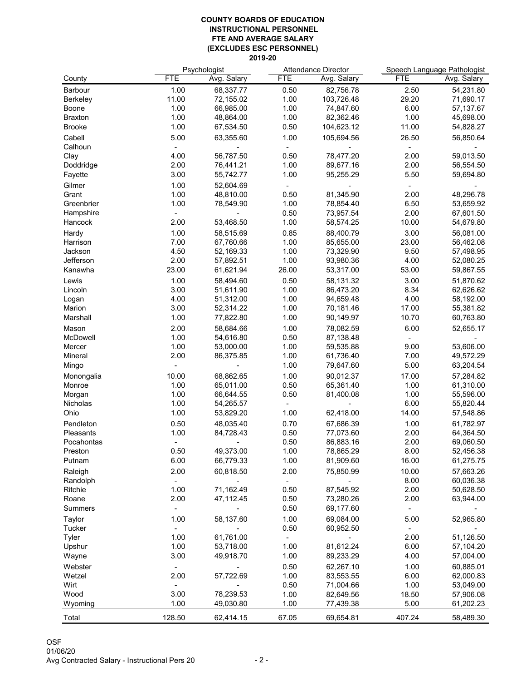|                  |            | Psychologist |            | <b>Attendance Director</b> |            | Speech Language Pathologist |  |
|------------------|------------|--------------|------------|----------------------------|------------|-----------------------------|--|
| County           | <b>FTE</b> | Avg. Salary  | <b>FTE</b> | Avg. Salary                | <b>FTE</b> | Avg. Salary                 |  |
| <b>Barbour</b>   | 1.00       | 68,337.77    | 0.50       | 82,756.78                  | 2.50       | 54,231.80                   |  |
| <b>Berkeley</b>  | 11.00      | 72,155.02    | 1.00       | 103,726.48                 | 29.20      | 71,690.17                   |  |
| <b>Boone</b>     | 1.00       | 66,985.00    | 1.00       | 74,847.60                  | 6.00       | 57,137.67                   |  |
| <b>Braxton</b>   | 1.00       | 48,864.00    | 1.00       | 82,362.46                  | 1.00       | 45,698.00                   |  |
| <b>Brooke</b>    | 1.00       | 67,534.50    | 0.50       | 104,623.12                 | 11.00      | 54,828.27                   |  |
| Cabell           | 5.00       | 63,355.60    | 1.00       | 105,694.56                 | 26.50      | 56,850.64                   |  |
| Calhoun          |            |              |            |                            |            |                             |  |
| Clay             | 4.00       | 56,787.50    | 0.50       | 78,477.20                  | 2.00       | 59,013.50                   |  |
| Doddridge        | 2.00       | 76,441.21    | 1.00       | 89,677.16                  | 2.00       | 56,554.50                   |  |
| Fayette          | 3.00       | 55,742.77    | 1.00       | 95,255.29                  | 5.50       | 59,694.80                   |  |
| Gilmer           | 1.00       | 52,604.69    |            |                            |            |                             |  |
| Grant            | 1.00       | 48,810.00    | 0.50       | 81,345.90                  | 2.00       | 48,296.78                   |  |
| Greenbrier       | 1.00       | 78,549.90    | 1.00       | 78,854.40                  | 6.50       | 53,659.92                   |  |
| Hampshire        |            |              | 0.50       | 73,957.54                  | 2.00       | 67,601.50                   |  |
| Hancock          | 2.00       | 53,468.50    | 1.00       | 58,574.25                  | 10.00      | 54,679.80                   |  |
| Hardy            | 1.00       | 58,515.69    | 0.85       | 88,400.79                  | 3.00       | 56,081.00                   |  |
| Harrison         | 7.00       | 67,760.66    | 1.00       | 85,655.00                  | 23.00      | 56,462.08                   |  |
| Jackson          | 4.50       | 52,169.33    | 1.00       | 73,329.90                  | 9.50       | 57,498.95                   |  |
| Jefferson        | 2.00       | 57,892.51    | 1.00       | 93,980.36                  | 4.00       | 52,080.25                   |  |
| Kanawha          | 23.00      | 61,621.94    | 26.00      | 53,317.00                  | 53.00      | 59,867.55                   |  |
| Lewis            | 1.00       | 58,494.60    | 0.50       | 58,131.32                  | 3.00       | 51,870.62                   |  |
| Lincoln          | 3.00       | 51,611.90    | 1.00       | 86,473.20                  | 8.34       | 62,626.62                   |  |
| Logan            | 4.00       | 51,312.00    | 1.00       | 94,659.48                  | 4.00       | 58,192.00                   |  |
| Marion           | 3.00       | 52,314.22    | 1.00       | 70,181.46                  | 17.00      | 55,381.82                   |  |
| Marshall         | 1.00       | 77,822.80    | 1.00       | 90,149.97                  | 10.70      | 60,763.80                   |  |
| Mason            | 2.00       | 58,684.66    | 1.00       | 78,082.59                  | 6.00       | 52,655.17                   |  |
| McDowell         | 1.00       | 54,616.80    | 0.50       | 87,138.48                  |            |                             |  |
| Mercer           | 1.00       | 53,000.00    | 1.00       | 59,535.88                  | 9.00       | 53,606.00                   |  |
| Mineral          | 2.00       | 86,375.85    | 1.00       | 61,736.40                  | 7.00       | 49,572.29                   |  |
| Mingo            |            |              | 1.00       | 79,647.60                  | 5.00       | 63,204.54                   |  |
| Monongalia       | 10.00      | 68,862.65    | 1.00       | 90,012.37                  | 17.00      | 57,284.82                   |  |
| Monroe           | 1.00       | 65,011.00    | 0.50       | 65,361.40                  | 1.00       | 61,310.00                   |  |
| Morgan           | 1.00       | 66,644.55    | 0.50       | 81,400.08                  | 1.00       | 55,596.00                   |  |
| <b>Nicholas</b>  | 1.00       | 54,265.57    |            |                            | 6.00       | 55,820.44                   |  |
| Ohio             | 1.00       | 53,829.20    | 1.00       | 62,418.00                  | 14.00      | 57,548.86                   |  |
| Pendleton        | 0.50       | 48,035.40    | 0.70       | 67,686.39                  | 1.00       | 61,782.97                   |  |
| <b>Pleasants</b> | 1.00       | 84,728.43    | 0.50       | 77,073.60                  | 2.00       | 64,364.50                   |  |
| Pocahontas       |            |              | 0.50       | 86,883.16                  | 2.00       | 69,060.50                   |  |
| Preston          | 0.50       | 49,373.00    | 1.00       | 78,865.29                  | 8.00       | 52,456.38                   |  |
| Putnam           | 6.00       | 66,779.33    | 1.00       | 81,909.60                  | 16.00      | 61,275.75                   |  |
| Raleigh          | 2.00       | 60,818.50    | 2.00       | 75,850.99                  | 10.00      | 57,663.26                   |  |
| Randolph         |            |              |            |                            | 8.00       | 60,036.38                   |  |
| Ritchie          | 1.00       | 71,162.49    | 0.50       | 87,545.92                  | 2.00       | 50,628.50                   |  |
| Roane            | 2.00       | 47,112.45    | 0.50       | 73,280.26                  | 2.00       | 63,944.00                   |  |
| <b>Summers</b>   |            |              | 0.50       | 69,177.60                  |            |                             |  |
| <b>Taylor</b>    | 1.00       | 58,137.60    | 1.00       | 69,084.00                  | 5.00       | 52,965.80                   |  |
| <b>Tucker</b>    |            |              | 0.50       | 60,952.50                  |            |                             |  |
| <b>Tyler</b>     | 1.00       | 61,761.00    |            |                            | 2.00       | 51,126.50                   |  |
| Upshur           | 1.00       | 53,718.00    | 1.00       | 81,612.24                  | 6.00       | 57,104.20                   |  |
| Wayne            | 3.00       | 49,918.70    | 1.00       | 89,233.29                  | 4.00       | 57,004.00                   |  |
| Webster          |            |              | 0.50       | 62,267.10                  | 1.00       | 60,885.01                   |  |
| Wetzel           | 2.00       | 57,722.69    | 1.00       | 83,553.55                  | 6.00       | 62,000.83                   |  |
| Wirt             |            |              | 0.50       | 71,004.66                  | 1.00       | 53,049.00                   |  |
| Wood             | 3.00       | 78,239.53    | 1.00       | 82,649.56                  | 18.50      | 57,906.08                   |  |
| Wyoming          | 1.00       | 49,030.80    | 1.00       | 77,439.38                  | 5.00       | 61,202.23                   |  |
|                  |            |              |            |                            |            |                             |  |
| Total            | 128.50     | 62,414.15    | 67.05      | 69,654.81                  | 407.24     | 58,489.30                   |  |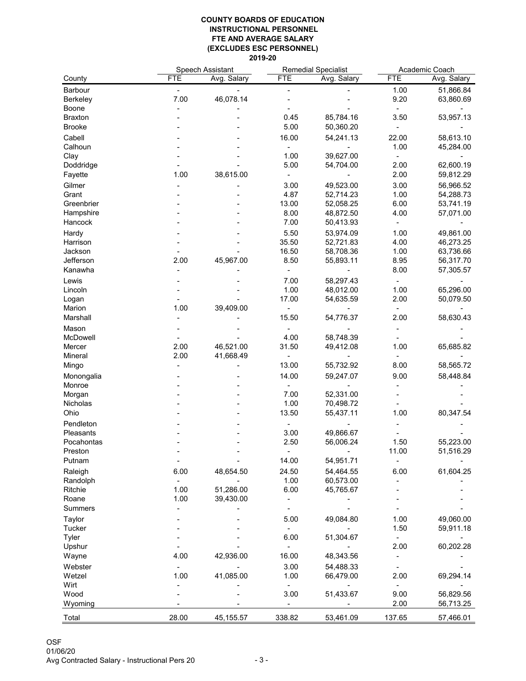|                          | <b>Speech Assistant</b> |                        | <b>Remedial Specialist</b> |                        | Academic Coach |             |
|--------------------------|-------------------------|------------------------|----------------------------|------------------------|----------------|-------------|
| County                   | <b>FTE</b>              | Avg. Salary            | <b>FTE</b>                 | Avg. Salary            | <b>FTE</b>     | Avg. Salary |
| <b>Barbour</b>           |                         |                        |                            |                        | 1.00           | 51,866.84   |
| <b>Berkeley</b>          | 7.00                    | 46,078.14              |                            |                        | 9.20           | 63,860.69   |
| <b>Boone</b>             |                         |                        |                            |                        |                |             |
| <b>Braxton</b>           |                         |                        | 0.45                       | 85,784.16              | 3.50           | 53,957.13   |
| <b>Brooke</b>            |                         |                        | 5.00                       | 50,360.20              |                |             |
| Cabell                   |                         |                        | 16.00                      | 54,241.13              | 22.00          | 58,613.10   |
| Calhoun                  |                         |                        |                            |                        | 1.00           | 45,284.00   |
| Clay                     |                         |                        | 1.00                       | 39,627.00              |                |             |
| Doddridge                |                         |                        | 5.00                       | 54,704.00              | 2.00           | 62,600.19   |
| Fayette                  | 1.00                    | 38,615.00              |                            |                        | 2.00           | 59,812.29   |
| Gilmer                   |                         |                        | 3.00                       | 49,523.00              | 3.00           | 56,966.52   |
| Grant                    |                         |                        | 4.87                       | 52,714.23              | 1.00           | 54,288.73   |
| Greenbrier               |                         |                        | 13.00                      | 52,058.25              | 6.00           | 53,741.19   |
| Hampshire                |                         |                        | 8.00                       | 48,872.50              | 4.00           | 57,071.00   |
| Hancock                  |                         |                        | 7.00                       | 50,413.93              |                |             |
|                          |                         |                        |                            |                        |                |             |
| Hardy                    |                         |                        | 5.50                       | 53,974.09              | 1.00           | 49,861.00   |
| Harrison                 |                         |                        | 35.50                      | 52,721.83              | 4.00           | 46,273.25   |
| Jackson                  |                         |                        | 16.50                      | 58,708.36              | 1.00           | 63,736.66   |
| Jefferson                | 2.00                    | 45,967.00              | 8.50                       | 55,893.11              | 8.95<br>8.00   | 56,317.70   |
| Kanawha                  |                         |                        |                            |                        |                | 57,305.57   |
| Lewis                    |                         |                        | 7.00                       | 58,297.43              |                |             |
| Lincoln                  |                         |                        | 1.00                       | 48,012.00              | 1.00           | 65,296.00   |
| Logan                    |                         |                        | 17.00                      | 54,635.59              | 2.00           | 50,079.50   |
| Marion                   | 1.00                    | 39,409.00              |                            | 54,776.37              |                |             |
| Marshall                 |                         |                        | 15.50                      |                        | 2.00           | 58,630.43   |
| Mason                    |                         |                        |                            |                        |                |             |
| <b>McDowell</b>          |                         |                        | 4.00                       | 58,748.39              |                |             |
| Mercer<br><b>Mineral</b> | 2.00<br>2.00            | 46,521.00              | 31.50                      | 49,412.08              | 1.00           | 65,685.82   |
|                          |                         | 41,668.49              | 13.00                      | 55,732.92              | 8.00           | 58,565.72   |
| Mingo                    |                         |                        |                            |                        |                |             |
| Monongalia               |                         |                        | 14.00                      | 59,247.07              | 9.00           | 58,448.84   |
| Monroe                   |                         |                        | 7.00                       | 52,331.00              |                |             |
| Morgan<br>Nicholas       |                         |                        | 1.00                       | 70,498.72              |                |             |
| Ohio                     |                         |                        | 13.50                      | 55,437.11              | 1.00           | 80,347.54   |
|                          |                         |                        |                            |                        |                |             |
| Pendleton                |                         |                        |                            |                        |                |             |
| Pleasants                |                         |                        | 3.00                       | 49,866.67              |                |             |
| Pocahontas               |                         |                        | 2.50                       | 56,006.24              | 1.50           | 55,223.00   |
| Preston<br>Putnam        |                         |                        | 14.00                      | 54,951.71              | 11.00          | 51,516.29   |
|                          |                         |                        |                            |                        |                |             |
| Raleigh                  | 6.00                    | 48,654.50              | 24.50                      | 54,464.55              | 6.00           | 61,604.25   |
| Randolph                 |                         |                        | 1.00                       | 60,573.00              |                |             |
| Ritchie<br>Roane         | 1.00<br>1.00            | 51,286.00<br>39,430.00 | 6.00                       | 45,765.67              |                |             |
| <b>Summers</b>           |                         |                        |                            |                        |                |             |
|                          |                         |                        |                            |                        |                |             |
| <b>Taylor</b>            |                         |                        | 5.00                       | 49,084.80              | 1.00           | 49,060.00   |
| <b>Tucker</b>            |                         |                        | 6.00                       |                        | 1.50           | 59,911.18   |
| <b>Tyler</b><br>Upshur   |                         |                        |                            | 51,304.67              | 2.00           | 60,202.28   |
| Wayne                    | 4.00                    | 42,936.00              | 16.00                      | 48,343.56              |                |             |
|                          |                         |                        |                            |                        |                |             |
| Webster<br>Wetzel        | 1.00                    | 41,085.00              | 3.00<br>1.00               | 54,488.33<br>66,479.00 | 2.00           | 69,294.14   |
| Wirt                     |                         |                        |                            |                        |                |             |
| Wood                     |                         |                        | 3.00                       | 51,433.67              | 9.00           | 56,829.56   |
| Wyoming                  |                         |                        |                            |                        | 2.00           | 56,713.25   |
|                          |                         |                        |                            |                        |                |             |
| Total                    | 28.00                   | 45, 155. 57            | 338.82                     | 53,461.09              | 137.65         | 57,466.01   |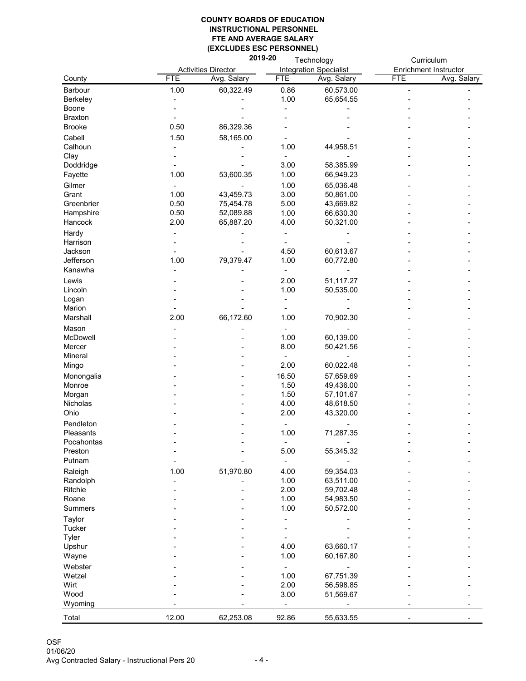|                                | 2019-20<br>Technology |                            |               | Curriculum                    |            |                              |
|--------------------------------|-----------------------|----------------------------|---------------|-------------------------------|------------|------------------------------|
|                                |                       | <b>Activities Director</b> |               | <b>Integration Specialist</b> |            | <b>Enrichment Instructor</b> |
| County                         | <b>FTE</b>            | Avg. Salary                | <b>FTE</b>    | Avg. Salary                   | <b>FTE</b> | Avg. Salary                  |
| <b>Barbour</b>                 | 1.00                  | 60,322.49                  | 0.86          | 60,573.00                     |            |                              |
| <b>Berkeley</b>                |                       |                            | 1.00          | 65,654.55                     |            |                              |
| <b>Boone</b>                   |                       |                            |               |                               |            |                              |
| <b>Braxton</b>                 |                       |                            |               |                               |            |                              |
| <b>Brooke</b>                  | 0.50                  | 86,329.36                  |               |                               |            |                              |
| Cabell                         | 1.50                  | 58,165.00                  |               |                               |            |                              |
| Calhoun                        |                       |                            | 1.00          | 44,958.51                     |            |                              |
| Clay                           |                       |                            |               |                               |            |                              |
| Doddridge                      |                       |                            | 3.00          | 58,385.99                     |            |                              |
| Fayette                        | 1.00                  | 53,600.35                  | 1.00          | 66,949.23                     |            |                              |
| Gilmer                         |                       |                            | 1.00          | 65,036.48                     |            |                              |
| Grant                          | 1.00                  | 43,459.73                  | 3.00          | 50,861.00                     |            |                              |
| Greenbrier                     | 0.50                  | 75,454.78                  | 5.00          | 43,669.82                     |            |                              |
| Hampshire                      | 0.50                  | 52,089.88                  | 1.00          | 66,630.30                     |            |                              |
| Hancock                        | 2.00                  | 65,887.20                  | 4.00          | 50,321.00                     |            |                              |
| Hardy                          |                       |                            |               |                               |            |                              |
| Harrison                       |                       |                            |               |                               |            |                              |
| Jackson                        |                       |                            | 4.50          | 60,613.67                     |            |                              |
| Jefferson                      | 1.00                  | 79,379.47                  | 1.00          | 60,772.80                     |            |                              |
| Kanawha                        |                       |                            |               |                               |            |                              |
|                                |                       |                            |               |                               |            |                              |
| Lewis                          |                       |                            | 2.00          | 51,117.27                     |            |                              |
| Lincoln                        |                       |                            | 1.00          | 50,535.00                     |            |                              |
| Logan<br>Marion                |                       |                            |               |                               |            |                              |
| Marshall                       | 2.00                  | 66,172.60                  | 1.00          | 70,902.30                     |            |                              |
|                                |                       |                            |               |                               |            |                              |
| Mason<br>McDowell              |                       |                            | 1.00          | 60,139.00                     |            |                              |
| Mercer                         |                       |                            | 8.00          | 50,421.56                     |            |                              |
| <b>Mineral</b>                 |                       |                            |               |                               |            |                              |
| Mingo                          |                       |                            | 2.00          | 60,022.48                     |            |                              |
|                                |                       |                            |               |                               |            |                              |
| Monongalia<br>Monroe           |                       |                            | 16.50<br>1.50 | 57,659.69<br>49,436.00        |            |                              |
|                                |                       |                            | 1.50          | 57,101.67                     |            |                              |
| Morgan<br>Nicholas             |                       |                            | 4.00          | 48,618.50                     |            |                              |
| Ohio                           |                       |                            | 2.00          | 43,320.00                     |            |                              |
|                                |                       |                            |               |                               |            |                              |
| Pendleton                      |                       |                            |               |                               |            |                              |
| <b>Pleasants</b>               |                       |                            | 1.00          | 71,287.35                     |            |                              |
| Pocahontas<br>Preston          |                       |                            |               |                               |            |                              |
| Putnam                         |                       |                            | 5.00          | 55,345.32                     |            |                              |
|                                |                       |                            |               |                               |            |                              |
| Raleigh                        | 1.00                  | 51,970.80                  | 4.00<br>1.00  | 59,354.03                     |            |                              |
| Randolph<br>Ritchie            |                       |                            | 2.00          | 63,511.00<br>59,702.48        |            |                              |
| Roane                          |                       |                            | 1.00          | 54,983.50                     |            |                              |
| <b>Summers</b>                 |                       |                            | 1.00          | 50,572.00                     |            |                              |
|                                |                       |                            |               |                               |            |                              |
| <b>Taylor</b><br><b>Tucker</b> |                       |                            |               |                               |            |                              |
| <b>Tyler</b>                   |                       |                            |               |                               |            |                              |
| Upshur                         |                       |                            | 4.00          | 63,660.17                     |            |                              |
| Wayne                          |                       |                            | 1.00          | 60,167.80                     |            |                              |
| Webster                        |                       |                            |               |                               |            |                              |
| Wetzel                         |                       |                            | 1.00          | 67,751.39                     |            |                              |
| Wirt                           |                       |                            | 2.00          | 56,598.85                     |            |                              |
| Wood                           |                       |                            | 3.00          | 51,569.67                     |            |                              |
| Wyoming                        |                       |                            |               |                               |            |                              |
| Total                          | 12.00                 | 62,253.08                  | 92.86         | 55,633.55                     |            |                              |
|                                |                       |                            |               |                               |            |                              |